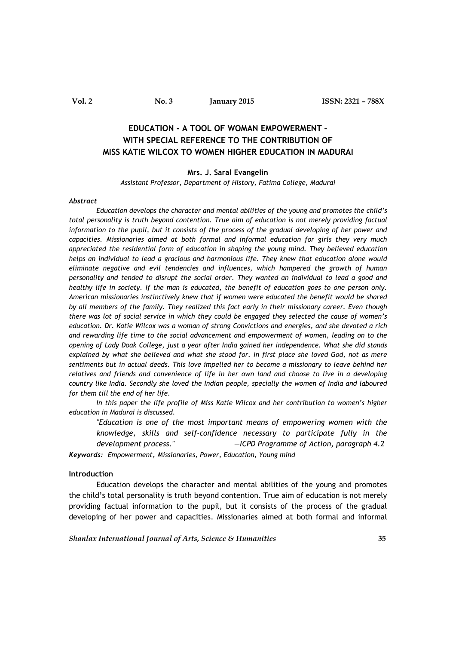**Vol. 2 No. 3 January 2015 ISSN: 2321 – 788X**

# **EDUCATION - A TOOL OF WOMAN EMPOWERMENT – WITH SPECIAL REFERENCE TO THE CONTRIBUTION OF MISS KATIE WILCOX TO WOMEN HIGHER EDUCATION IN MADURAI**

## **Mrs. J. Saral Evangelin**

*Assistant Professor, Department of History, Fatima College, Madurai*

#### *Abstract*

*Education develops the character and mental abilities of the young and promotes the child's total personality is truth beyond contention. True aim of education is not merely providing factual information to the pupil, but it consists of the process of the gradual developing of her power and capacities. Missionaries aimed at both formal and informal education for girls they very much appreciated the residential form of education in shaping the young mind. They believed education helps an individual to lead a gracious and harmonious life. They knew that education alone would eliminate negative and evil tendencies and influences, which hampered the growth of human personality and tended to disrupt the social order. They wanted an individual to lead a good and healthy life in society. If the man is educated, the benefit of education goes to one person only. American missionaries instinctively knew that if women were educated the benefit would be shared by all members of the family. They realized this fact early in their missionary career. Even though there was lot of social service in which they could be engaged they selected the cause of women's education. Dr. Katie Wilcox was a woman of strong Convictions and energies, and she devoted a rich and rewarding life time to the social advancement and empowerment of women, leading on to the opening of Lady Doak College, just a year after India gained her independence. What she did stands explained by what she believed and what she stood for. In first place she loved God, not as mere sentiments but in actual deeds. This love impelled her to become a missionary to leave behind her relatives and friends and convenience of life in her own land and choose to live in a developing country like India. Secondly she loved the Indian people, specially the women of India and laboured for them till the end of her life.*

*In this paper the life profile of Miss Katie Wilcox and her contribution to women's higher education in Madurai is discussed.* 

*"Education is one of the most important means of empowering women with the knowledge, skills and self-confidence necessary to participate fully in the development process." —ICPD Programme of Action, paragraph 4.2*

*Keywords: Empowerment, Missionaries, Power, Education, Young mind*

# **Introduction**

Education develops the character and mental abilities of the young and promotes the child's total personality is truth beyond contention. True aim of education is not merely providing factual information to the pupil, but it consists of the process of the gradual developing of her power and capacities. Missionaries aimed at both formal and informal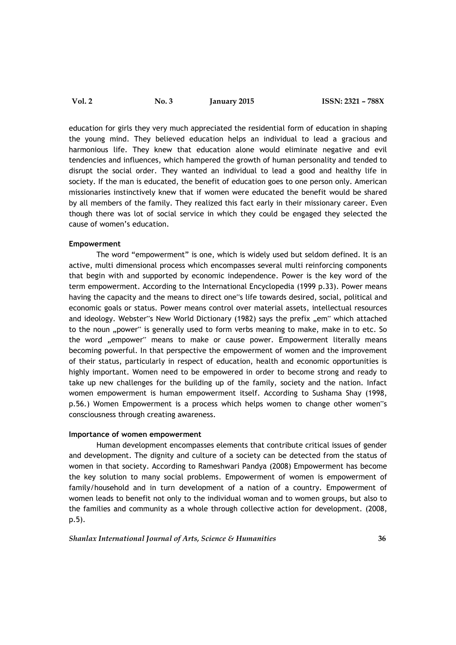education for girls they very much appreciated the residential form of education in shaping the young mind. They believed education helps an individual to lead a gracious and harmonious life. They knew that education alone would eliminate negative and evil tendencies and influences, which hampered the growth of human personality and tended to disrupt the social order. They wanted an individual to lead a good and healthy life in society. If the man is educated, the benefit of education goes to one person only. American missionaries instinctively knew that if women were educated the benefit would be shared by all members of the family. They realized this fact early in their missionary career. Even though there was lot of social service in which they could be engaged they selected the cause of women's education.

# **Empowerment**

The word "empowerment" is one, which is widely used but seldom defined. It is an active, multi dimensional process which encompasses several multi reinforcing components that begin with and supported by economic independence. Power is the key word of the term empowerment. According to the International Encyclopedia (1999 p.33). Power means having the capacity and the means to direct one"s life towards desired, social, political and economic goals or status. Power means control over material assets, intellectual resources and ideology. Webster"s New World Dictionary (1982) says the prefix "em" which attached to the noun "power" is generally used to form verbs meaning to make, make in to etc. So the word "empower" means to make or cause power. Empowerment literally means becoming powerful. In that perspective the empowerment of women and the improvement of their status, particularly in respect of education, health and economic opportunities is highly important. Women need to be empowered in order to become strong and ready to take up new challenges for the building up of the family, society and the nation. Infact women empowerment is human empowerment itself. According to Sushama Shay (1998, p.56.) Women Empowerment is a process which helps women to change other women"s consciousness through creating awareness.

# **Importance of women empowerment**

Human development encompasses elements that contribute critical issues of gender and development. The dignity and culture of a society can be detected from the status of women in that society. According to Rameshwari Pandya (2008) Empowerment has become the key solution to many social problems. Empowerment of women is empowerment of family/household and in turn development of a nation of a country. Empowerment of women leads to benefit not only to the individual woman and to women groups, but also to the families and community as a whole through collective action for development. (2008, p.5).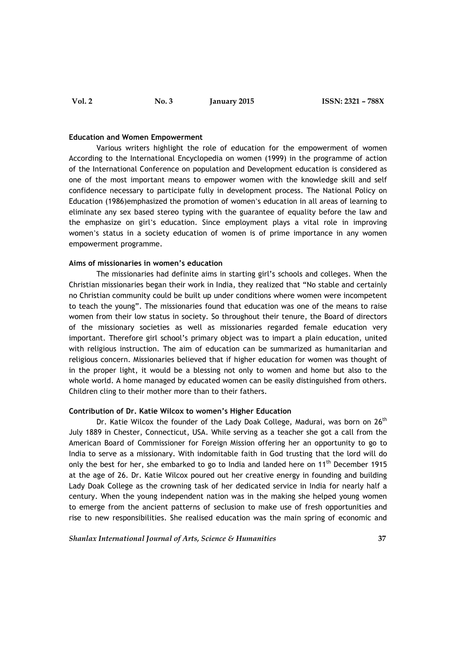#### **Education and Women Empowerment**

Various writers highlight the role of education for the empowerment of women According to the International Encyclopedia on women (1999) in the programme of action of the International Conference on population and Development education is considered as one of the most important means to empower women with the knowledge skill and self confidence necessary to participate fully in development process. The National Policy on Education (1986)emphasized the promotion of women's education in all areas of learning to eliminate any sex based stereo typing with the guarantee of equality before the law and the emphasize on girl's education. Since employment plays a vital role in improving women's status in a society education of women is of prime importance in any women empowerment programme.

# **Aims of missionaries in women's education**

The missionaries had definite aims in starting girl's schools and colleges. When the Christian missionaries began their work in India, they realized that "No stable and certainly no Christian community could be built up under conditions where women were incompetent to teach the young". The missionaries found that education was one of the means to raise women from their low status in society. So throughout their tenure, the Board of directors of the missionary societies as well as missionaries regarded female education very important. Therefore girl school's primary object was to impart a plain education, united with religious instruction. The aim of education can be summarized as humanitarian and religious concern. Missionaries believed that if higher education for women was thought of in the proper light, it would be a blessing not only to women and home but also to the whole world. A home managed by educated women can be easily distinguished from others. Children cling to their mother more than to their fathers.

# **Contribution of Dr. Katie Wilcox to women's Higher Education**

Dr. Katie Wilcox the founder of the Lady Doak College, Madurai, was born on  $26<sup>th</sup>$ July 1889 in Chester, Connecticut, USA. While serving as a teacher she got a call from the American Board of Commissioner for Foreign Mission offering her an opportunity to go to India to serve as a missionary. With indomitable faith in God trusting that the lord will do only the best for her, she embarked to go to India and landed here on 11<sup>th</sup> December 1915 at the age of 26. Dr. Katie Wilcox poured out her creative energy in founding and building Lady Doak College as the crowning task of her dedicated service in India for nearly half a century. When the young independent nation was in the making she helped young women to emerge from the ancient patterns of seclusion to make use of fresh opportunities and rise to new responsibilities. She realised education was the main spring of economic and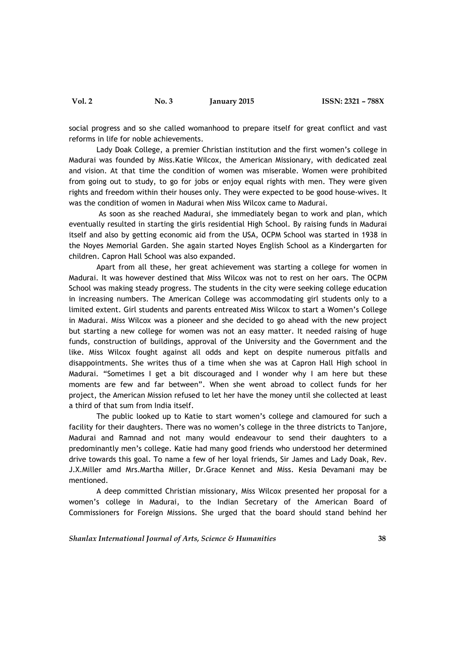social progress and so she called womanhood to prepare itself for great conflict and vast reforms in life for noble achievements.

Lady Doak College, a premier Christian institution and the first women's college in Madurai was founded by Miss.Katie Wilcox, the American Missionary, with dedicated zeal and vision. At that time the condition of women was miserable. Women were prohibited from going out to study, to go for jobs or enjoy equal rights with men. They were given rights and freedom within their houses only. They were expected to be good house-wives. It was the condition of women in Madurai when Miss Wilcox came to Madurai.

As soon as she reached Madurai, she immediately began to work and plan, which eventually resulted in starting the girls residential High School. By raising funds in Madurai itself and also by getting economic aid from the USA, OCPM School was started in 1938 in the Noyes Memorial Garden. She again started Noyes English School as a Kindergarten for children. Capron Hall School was also expanded.

Apart from all these, her great achievement was starting a college for women in Madurai. It was however destined that Miss Wilcox was not to rest on her oars. The OCPM School was making steady progress. The students in the city were seeking college education in increasing numbers. The American College was accommodating girl students only to a limited extent. Girl students and parents entreated Miss Wilcox to start a Women's College in Madurai. Miss Wilcox was a pioneer and she decided to go ahead with the new project but starting a new college for women was not an easy matter. It needed raising of huge funds, construction of buildings, approval of the University and the Government and the like. Miss Wilcox fought against all odds and kept on despite numerous pitfalls and disappointments. She writes thus of a time when she was at Capron Hall High school in Madurai. "Sometimes I get a bit discouraged and I wonder why I am here but these moments are few and far between". When she went abroad to collect funds for her project, the American Mission refused to let her have the money until she collected at least a third of that sum from India itself.

The public looked up to Katie to start women's college and clamoured for such a facility for their daughters. There was no women's college in the three districts to Tanjore, Madurai and Ramnad and not many would endeavour to send their daughters to a predominantly men's college. Katie had many good friends who understood her determined drive towards this goal. To name a few of her loyal friends, Sir James and Lady Doak, Rev. J.X.Miller amd Mrs.Martha Miller, Dr.Grace Kennet and Miss. Kesia Devamani may be mentioned.

A deep committed Christian missionary, Miss Wilcox presented her proposal for a women's college in Madurai, to the Indian Secretary of the American Board of Commissioners for Foreign Missions. She urged that the board should stand behind her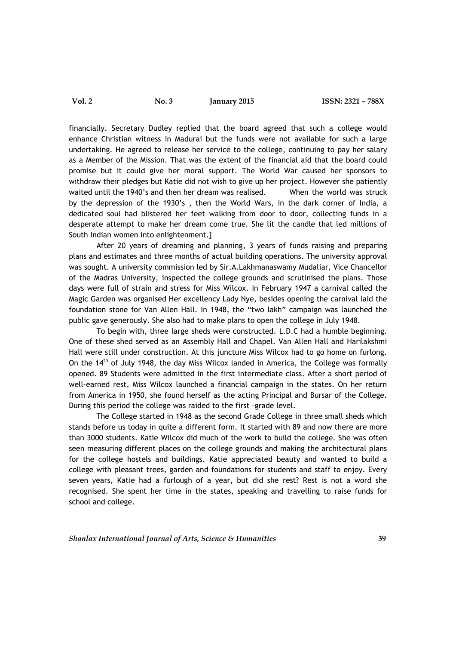financially. Secretary Dudley replied that the board agreed that such a college would enhance Christian witness in Madurai but the funds were not available for such a large undertaking. He agreed to release her service to the college, continuing to pay her salary as a Member of the Mission. That was the extent of the financial aid that the board could promise but it could give her moral support. The World War caused her sponsors to withdraw their pledges but Katie did not wish to give up her project. However she patiently waited until the 1940's and then her dream was realised. When the world was struck by the depression of the 1930's , then the World Wars, in the dark corner of India, a dedicated soul had blistered her feet walking from door to door, collecting funds in a desperate attempt to make her dream come true. She lit the candle that led millions of South Indian women into enlightenment.]

After 20 years of dreaming and planning, 3 years of funds raising and preparing plans and estimates and three months of actual building operations. The university approval was sought. A university commission led by Sir.A.Lakhmanaswamy Mudaliar, Vice Chancellor of the Madras University, inspected the college grounds and scrutinised the plans. Those days were full of strain and stress for Miss Wilcox. In February 1947 a carnival called the Magic Garden was organised Her excellency Lady Nye, besides opening the carnival laid the foundation stone for Van Allen Hall. In 1948, the "two lakh" campaign was launched the public gave generously. She also had to make plans to open the college in July 1948.

To begin with, three large sheds were constructed. L.D.C had a humble beginning. One of these shed served as an Assembly Hall and Chapel. Van Allen Hall and Harilakshmi Hall were still under construction. At this juncture Miss Wilcox had to go home on furlong. On the 14<sup>th</sup> of July 1948, the day Miss Wilcox landed in America, the College was formally opened. 89 Students were admitted in the first intermediate class. After a short period of well-earned rest, Miss Wilcox launched a financial campaign in the states. On her return from America in 1950, she found herself as the acting Principal and Bursar of the College. During this period the college was raided to the first –grade level.

The College started in 1948 as the second Grade College in three small sheds which stands before us today in quite a different form. It started with 89 and now there are more than 3000 students. Katie Wilcox did much of the work to build the college. She was often seen measuring different places on the college grounds and making the architectural plans for the college hostels and buildings. Katie appreciated beauty and wanted to build a college with pleasant trees, garden and foundations for students and staff to enjoy. Every seven years, Katie had a furlough of a year, but did she rest? Rest is not a word she recognised. She spent her time in the states, speaking and travelling to raise funds for school and college.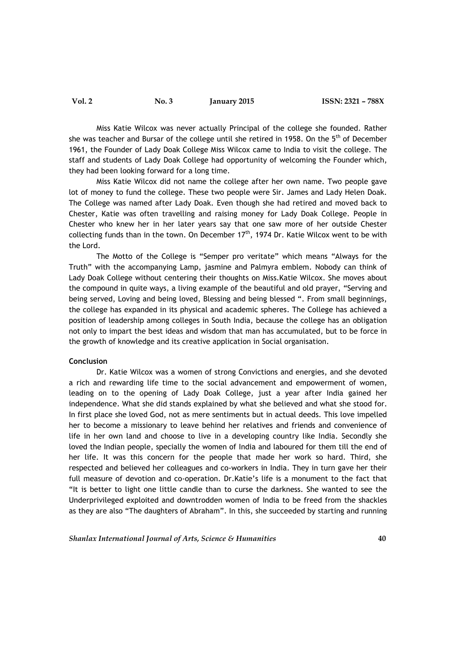Miss Katie Wilcox was never actually Principal of the college she founded. Rather she was teacher and Bursar of the college until she retired in 1958. On the 5<sup>th</sup> of December 1961, the Founder of Lady Doak College Miss Wilcox came to India to visit the college. The staff and students of Lady Doak College had opportunity of welcoming the Founder which, they had been looking forward for a long time.

Miss Katie Wilcox did not name the college after her own name. Two people gave lot of money to fund the college. These two people were Sir. James and Lady Helen Doak. The College was named after Lady Doak. Even though she had retired and moved back to Chester, Katie was often travelling and raising money for Lady Doak College. People in Chester who knew her in her later years say that one saw more of her outside Chester collecting funds than in the town. On December  $17<sup>th</sup>$ , 1974 Dr. Katie Wilcox went to be with the Lord.

The Motto of the College is "Semper pro veritate" which means "Always for the Truth" with the accompanying Lamp, jasmine and Palmyra emblem. Nobody can think of Lady Doak College without centering their thoughts on Miss.Katie Wilcox. She moves about the compound in quite ways, a living example of the beautiful and old prayer, "Serving and being served, Loving and being loved, Blessing and being blessed ". From small beginnings, the college has expanded in its physical and academic spheres. The College has achieved a position of leadership among colleges in South India, because the college has an obligation not only to impart the best ideas and wisdom that man has accumulated, but to be force in the growth of knowledge and its creative application in Social organisation.

#### **Conclusion**

Dr. Katie Wilcox was a women of strong Convictions and energies, and she devoted a rich and rewarding life time to the social advancement and empowerment of women, leading on to the opening of Lady Doak College, just a year after India gained her independence. What she did stands explained by what she believed and what she stood for. In first place she loved God, not as mere sentiments but in actual deeds. This love impelled her to become a missionary to leave behind her relatives and friends and convenience of life in her own land and choose to live in a developing country like India. Secondly she loved the Indian people, specially the women of India and laboured for them till the end of her life. It was this concern for the people that made her work so hard. Third, she respected and believed her colleagues and co-workers in India. They in turn gave her their full measure of devotion and co-operation. Dr.Katie's life is a monument to the fact that "It is better to light one little candle than to curse the darkness. She wanted to see the Underprivileged exploited and downtrodden women of India to be freed from the shackles as they are also "The daughters of Abraham". In this, she succeeded by starting and running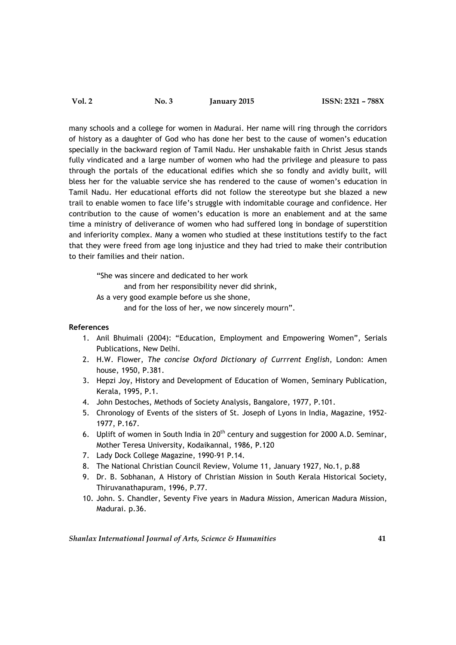| <b>Vol. 2</b><br><b>No. 3</b> | January 2015 |
|-------------------------------|--------------|
|-------------------------------|--------------|

many schools and a college for women in Madurai. Her name will ring through the corridors of history as a daughter of God who has done her best to the cause of women's education specially in the backward region of Tamil Nadu. Her unshakable faith in Christ Jesus stands fully vindicated and a large number of women who had the privilege and pleasure to pass through the portals of the educational edifies which she so fondly and avidly built, will bless her for the valuable service she has rendered to the cause of women's education in Tamil Nadu. Her educational efforts did not follow the stereotype but she blazed a new trail to enable women to face life's struggle with indomitable courage and confidence. Her contribution to the cause of women's education is more an enablement and at the same time a ministry of deliverance of women who had suffered long in bondage of superstition and inferiority complex. Many a women who studied at these institutions testify to the fact that they were freed from age long injustice and they had tried to make their contribution to their families and their nation.

"She was sincere and dedicated to her work and from her responsibility never did shrink, As a very good example before us she shone, and for the loss of her, we now sincerely mourn".

# **References**

- 1. Anil Bhuimali (2004): "Education, Employment and Empowering Women", Serials Publications, New Delhi.
- 2. H.W. Flower, *The concise Oxford Dictionary of Currrent English*, London: Amen house, 1950, P.381.
- 3. Hepzi Joy, History and Development of Education of Women, Seminary Publication, Kerala, 1995, P.1.
- 4. John Destoches, Methods of Society Analysis, Bangalore, 1977, P.101.
- 5. Chronology of Events of the sisters of St. Joseph of Lyons in India, Magazine, 1952- 1977, P.167.
- 6. Uplift of women in South India in 20<sup>th</sup> century and suggestion for 2000 A.D. Seminar, Mother Teresa University, Kodaikannal, 1986, P.120
- 7. Lady Dock College Magazine, 1990-91 P.14.
- 8. The National Christian Council Review, Volume 11, January 1927, No.1, p.88
- 9. Dr. B. Sobhanan, A History of Christian Mission in South Kerala Historical Society, Thiruvanathapuram, 1996, P.77.
- 10. John. S. Chandler, Seventy Five years in Madura Mission, American Madura Mission, Madurai. p.36.